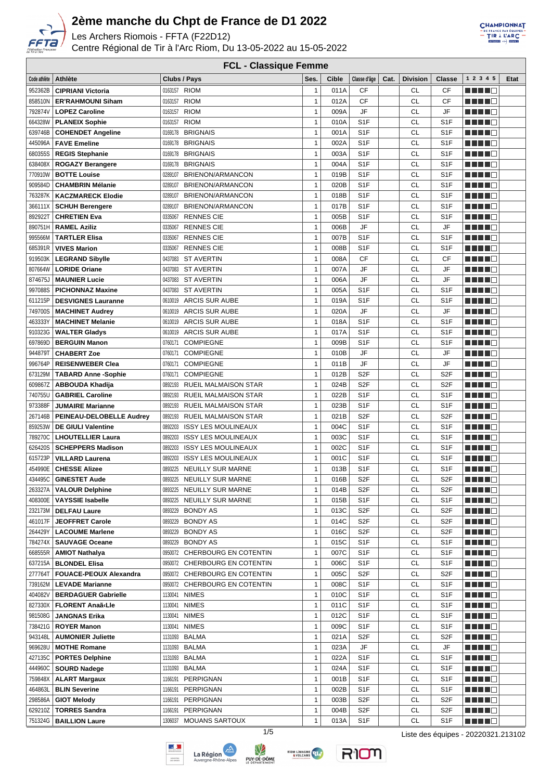

Les Archers Riomois - FFTA (F22D12)

Centre Régional de Tir à l'Arc Riom, Du 13-05-2022 au 15-05-2022



| <b>FCL - Classique Femme</b> |                               |                                        |              |              |                  |      |                 |                  |                        |      |
|------------------------------|-------------------------------|----------------------------------------|--------------|--------------|------------------|------|-----------------|------------------|------------------------|------|
| Code athlète                 | Athlète                       | Clubs / Pays                           | Ses.         | <b>Cible</b> | Classe d'âge     | Cat. | <b>Division</b> | <b>Classe</b>    | 1 2 3 4 5              | Etat |
| 952362B                      | <b>CIPRIANI Victoria</b>      | 0163157 RIOM                           | 1            | 011A         | СF               |      | CL              | CF               | HILL I F               |      |
| 858510N                      | <b>ER'RAHMOUNI Siham</b>      | <b>RIOM</b><br>0163157                 | 1            | 012A         | <b>CF</b>        |      | CL              | CF               | H H H O                |      |
| 792874V                      | <b>LOPEZ Caroline</b>         | <b>RIOM</b><br>0163157                 | 1            | 009A         | JF               |      | CL              | JF               |                        |      |
| 664328W                      | <b>PLANEIX Sophie</b>         | <b>RIOM</b><br>0163157                 | 1            | 010A         | S <sub>1</sub> F |      | CL              | S <sub>1</sub> F |                        |      |
|                              |                               | <b>BRIGNAIS</b>                        |              |              | S <sub>1</sub> F |      | CL              |                  | n in Film              |      |
| 639746B                      | <b>COHENDET Angeline</b>      | 0169178                                | 1            | 001A         |                  |      | <b>CL</b>       | S <sub>1</sub> F |                        |      |
| 445096A                      | <b>FAVE Emeline</b>           | <b>BRIGNAIS</b><br>0169178             | 1            | 002A         | S <sub>1</sub> F |      |                 | S <sub>1F</sub>  | HH 11                  |      |
| 680355S                      | <b>REGIS Stephanie</b>        | <b>BRIGNAIS</b><br>0169178             | 1            | 003A         | S <sub>1F</sub>  |      | CL              | S <sub>1F</sub>  | n din bin              |      |
| 638408X                      | <b>ROGAZY Berangere</b>       | <b>BRIGNAIS</b><br>0169178             | 1            | 004A         | S <sub>1</sub> F |      | CL              | S <sub>1F</sub>  | n din Fin              |      |
| 770910W                      | <b>BOTTE Louise</b>           | BRIENON/ARMANCON<br>0289107            | $\mathbf{1}$ | 019B         | S <sub>1</sub> F |      | CL              | S <sub>1</sub> F | a da da ka             |      |
| 909584D                      | <b>CHAMBRIN Mélanie</b>       | BRIENON/ARMANCON<br>0289107            | $\mathbf{1}$ | 020B         | S <sub>1</sub> F |      | <b>CL</b>       | S <sub>1F</sub>  | a da da ba             |      |
| 763287K                      | <b>KACZMARECK Elodie</b>      | BRIENON/ARMANCON<br>0289107            | 1            | 018B         | S <sub>1</sub> F |      | CL              | S <sub>1</sub> F |                        |      |
| 366111X                      | <b>SCHUH Berengere</b>        | BRIENON/ARMANCON<br>0289107            | 1            | 017B         | S <sub>1</sub> F |      | CL              | S <sub>1F</sub>  | 1           <b>   </b> |      |
| 892922T                      | <b>CHRETIEN Eva</b>           | <b>RENNES CIE</b><br>0335067           | 1            | 005B         | S <sub>1</sub> F |      | CL              | S <sub>1F</sub>  | .                      |      |
| 890751H                      | <b>RAMEL Aziliz</b>           | <b>RENNES CIE</b><br>0335067           | 1            | 006B         | JF               |      | CL              | JF               | H H H O                |      |
| 995566M                      | <b>TARTLER Elisa</b>          | 0335067<br><b>RENNES CIE</b>           | 1            | 007B         | S <sub>1</sub> F |      | <b>CL</b>       | S <sub>1</sub> F |                        |      |
| 685391R                      | <b>VIVES Marion</b>           | 0335067<br><b>RENNES CIE</b>           | 1            | 008B         | S <sub>1</sub> F |      | CL              | S <sub>1</sub> F | n din Fin              |      |
| 919503K                      | <b>LEGRAND Sibylle</b>        | 0437083<br><b>ST AVERTIN</b>           | 1            | 008A         | <b>CF</b>        |      | CL              | CF               |                        |      |
| 807664W                      | <b>LORIDE Oriane</b>          | <b>ST AVERTIN</b><br>0437083           | $\mathbf{1}$ | 007A         | JF               |      | CL              | JF               | n din din k            |      |
| 874675J                      | <b>MAUNIER Lucie</b>          | <b>ST AVERTIN</b><br>0437083           | 1            | 006A         | JF               |      | <b>CL</b>       | JF               | M M M M M              |      |
| 997088S                      | <b>PICHONNAZ Maxine</b>       | <b>ST AVERTIN</b><br>0437083           | 1            | 005A         | S <sub>1</sub> F |      | <b>CL</b>       | S <sub>1F</sub>  | <u> HII</u>            |      |
| 611215P                      | <b>DESVIGNES Lauranne</b>     | <b>ARCIS SUR AUBE</b><br>0610019       | 1            | 019A         | S <sub>1</sub> F |      | CL              | S <sub>1</sub> F |                        |      |
| 749700S                      | <b>MACHINET Audrey</b>        | <b>ARCIS SUR AUBE</b><br>0610019       | 1            | 020A         | JF               |      | CL              | JF               |                        |      |
| 463333Y                      | <b>MACHINET Melanie</b>       | <b>ARCIS SUR AUBE</b><br>0610019       | 1            | 018A         | S <sub>1F</sub>  |      | <b>CL</b>       | S <sub>1</sub> F | ME NA S                |      |
| 910323G                      | <b>WALTER Gladys</b>          | <b>ARCIS SUR AUBE</b><br>0610019       | 1            | 017A         | S <sub>1</sub> F |      | CL              | S <sub>1F</sub>  |                        |      |
| 697869D                      | <b>BERGUIN Manon</b>          | 0760171<br><b>COMPIEGNE</b>            | 1            | 009B         | S <sub>1</sub> F |      | <b>CL</b>       | S <sub>1</sub> F | M M M M M              |      |
| 944879T                      | <b>CHABERT Zoe</b>            | <b>COMPIEGNE</b><br>0760171            | 1            | 010B         | JF               |      | CL              | JF               | M M M M M              |      |
| 996764P                      | <b>REISENWEBER Clea</b>       | <b>COMPIEGNE</b><br>0760171            | 1            | 011B         | JF               |      | CL              | JF               | MA ME                  |      |
| 673129M                      | <b>TABARD Anne -Sophie</b>    | <b>COMPIEGNE</b><br>0760171            | $\mathbf{1}$ | 012B         | S <sub>2</sub> F |      | CL              | S <sub>2F</sub>  | ma mata                |      |
| 609867Z                      | <b>ABBOUDA Khadija</b>        | RUEIL MALMAISON STAR<br>0892193        | 1            | 024B         | S <sub>2F</sub>  |      | <b>CL</b>       | S <sub>2F</sub>  |                        |      |
| 740755U                      | <b>GABRIEL Caroline</b>       | 0892193<br><b>RUEIL MALMAISON STAR</b> | 1            | 022B         | S <sub>1</sub> F |      | CL              | S <sub>1F</sub>  | HH 11                  |      |
| 973388F                      | <b>JUMAIRE Marianne</b>       | 0892193<br><b>RUEIL MALMAISON STAR</b> | $\mathbf{1}$ | 023B         | S <sub>1</sub> F |      | CL              | S <sub>1</sub> F |                        |      |
| 267146B                      | PEINEAU-DELOBELLE Audrey      | 0892193<br><b>RUEIL MALMAISON STAR</b> | 1            | 021B         | S <sub>2</sub> F |      | CL              | S <sub>2F</sub>  | HH 11                  |      |
| 859253W                      | <b>DE GIULI Valentine</b>     | 0892203<br><b>ISSY LES MOULINEAUX</b>  | 1            | 004C         | S <sub>1</sub> F |      | CL              | S <sub>1</sub> F |                        |      |
| 789270C                      | <b>LHOUTELLIER Laura</b>      | 0892203<br><b>ISSY LES MOULINEAUX</b>  | 1            | 003C         | S <sub>1</sub> F |      | CL              | S <sub>1</sub> F | H H H O                |      |
| 626420S                      | <b>SCHEPPERS Madison</b>      | 0892203<br><b>ISSY LES MOULINEAUX</b>  | 1            | 002C         | S <sub>1</sub> F |      | CL              | S <sub>1F</sub>  | M M M M M              |      |
| 615723P                      | <b>VILLARD Laurena</b>        | <b>ISSY LES MOULINEAUX</b><br>0892203  | 1            | 001C         | S <sub>1</sub> F |      | CL              | S <sub>1</sub> F | MA TITLE               |      |
| 454990E                      | <b>CHESSE Alizee</b>          | <b>NEUILLY SUR MARNE</b><br>0893225    | 1            | 013B         | S <sub>1</sub> F |      | <b>CL</b>       | S <sub>1F</sub>  | M M M M M              |      |
| 434495C                      | <b>GINESTET Aude</b>          | 0893225 NEUILLY SUR MARNE              | 1            | 016B         | S2F              |      | CL              | S <sub>2</sub> F | <u>Literatur</u>       |      |
| 263327A                      | <b>VALOUR Delphine</b>        | 0893225 NEUILLY SUR MARNE              | 1            | 014B         | S2F              |      | CL              | S <sub>2</sub> F | MA MARIT               |      |
| 408300E                      | <b>VAYSSIE Isabelle</b>       | 0893225 NEUILLY SUR MARNE              | 1            | 015B         | S <sub>1</sub> F |      | CL              | S <sub>1</sub> F | <u> Literatur</u>      |      |
| 232173M                      | <b>DELFAU Laure</b>           | 0893229 BONDY AS                       | 1            | 013C         | S <sub>2</sub> F |      | CL              | S <sub>2F</sub>  | MA NO                  |      |
| 461017F                      | <b>JEOFFRET Carole</b>        | 0893229 BONDY AS                       | 1            | 014C         | S <sub>2</sub> F |      | CL              | S <sub>2F</sub>  | <u> Helena Ba</u>      |      |
| 264429Y                      | <b>LACOUME Marlene</b>        | 0893229<br><b>BONDY AS</b>             | 1            | 016C         | S <sub>2</sub> F |      | CL              | S <sub>2F</sub>  | MA HO                  |      |
| 784274X                      | <b>SAUVAGE Oceane</b>         | <b>BONDY AS</b><br>0893229             | 1            | 015C         | S <sub>1</sub> F |      | CL              | S <sub>1</sub> F | n di Ting              |      |
| 668555R                      | <b>AMIOT Nathalya</b>         | 0950072 CHERBOURG EN COTENTIN          | 1            | 007C         | S <sub>1</sub> F |      | CL              | S <sub>1</sub> F | MA MARINA              |      |
| 637215A                      | <b>BLONDEL Elisa</b>          | 0950072 CHERBOURG EN COTENTIN          | 1            | 006C         | S <sub>1</sub> F |      | CL              | S <sub>1</sub> F | <u> Literatur</u>      |      |
| 277764T                      | <b>FOUACE-PEOUX Alexandra</b> | 0950072 CHERBOURG EN COTENTIN          | 1            | 005C         | S <sub>2</sub> F |      | CL              | S <sub>2F</sub>  | <u> Here al B</u>      |      |
| 739162M                      | <b>LEVADE Marianne</b>        | 0950072 CHERBOURG EN COTENTIN          | 1            | 008C         | S1F              |      | CL              | S <sub>1</sub> F | <u> Literatura e</u>   |      |
| 404082V                      | <b>BERDAGUER Gabrielle</b>    | <b>NIMES</b><br>1130041                | 1            | 010C         | S <sub>1</sub> F |      | CL              | S <sub>1</sub> F |                        |      |
| 827330X                      | FLORENT Anaã«Lie              | <b>NIMES</b><br>1130041                | 1            | 011C         | S <sub>1</sub> F |      | CL              | S <sub>1</sub> F | <u> Literatur</u>      |      |
| 981508G                      | <b>JANGNAS Erika</b>          | <b>NIMES</b><br>1130041                | 1            | 012C         | S <sub>1</sub> F |      | CL              | S <sub>1</sub> F | <u> Literatur</u>      |      |
| 738421G                      | <b>ROYER Manon</b>            | <b>NIMES</b><br>1130041                | 1            | 009C         | S <sub>1</sub> F |      | CL              | S <sub>1</sub> F | MA NO                  |      |
| 943148L                      | <b>AUMONIER Juliette</b>      | <b>BALMA</b><br>1131093                | 1            | 021A         | S <sub>2</sub> F |      | CL              | S <sub>2</sub> F | <u>Literatur</u>       |      |
| 969628U                      | <b>MOTHE Romane</b>           | <b>BALMA</b><br>1131093                | 1            | 023A         | JF               |      | CL              | JF               | <u>Literatur</u>       |      |
| 427135C                      | <b>PORTES Delphine</b>        | 1131093 BALMA                          | 1            | 022A         | S <sub>1</sub> F |      | CL              | S <sub>1</sub> F | MA MARI                |      |
| 444960C                      | <b>SOURD Nadege</b>           | 1131093 BALMA                          | 1            | 024A         | S <sub>1</sub> F |      | CL              | S <sub>1</sub> F | <u> Here al Ba</u>     |      |
| 759848X                      | <b>ALART Margaux</b>          | PERPIGNAN<br>1166191                   | 1            | 001B         | S <sub>1</sub> F |      | CL              | S <sub>1</sub> F | <u> Here al B</u>      |      |
| 464863L                      | <b>BLIN Severine</b>          | PERPIGNAN<br>1166191                   | 1            | 002B         | S <sub>1</sub> F |      | CL              | S <sub>1</sub> F | <u> Literatur</u>      |      |
| 298586A                      | <b>GIOT Melody</b>            | PERPIGNAN<br>1166191                   | 1            | 003B         | S <sub>2</sub> F |      | CL              | S <sub>2F</sub>  | N E N H D              |      |
| 629210Z                      | <b>TORRES Sandra</b>          | PERPIGNAN<br>1166191                   | 1            | 004B         | S <sub>2</sub> F |      | CL              | S <sub>2</sub> F | MA NA MA               |      |
| 751324G                      | <b>BAILLION Laure</b>         | 1306037 MOUANS SARTOUX                 | 1            | 013A         | S <sub>1</sub> F |      | CL              | S <sub>1</sub> F | <u> Literatur</u>      |      |
|                              |                               |                                        |              |              |                  |      |                 |                  |                        |      |







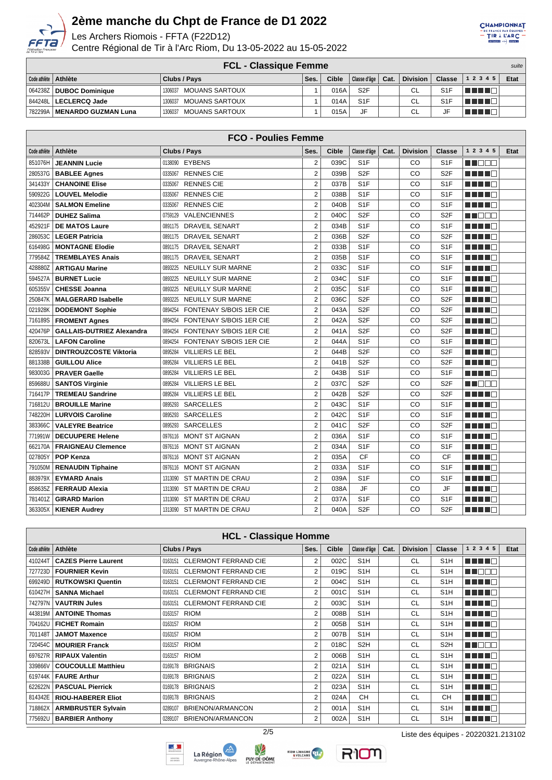

Les Archers Riomois - FFTA (F22D12)

Centre Régional de Tir à l'Arc Riom, Du 13-05-2022 au 15-05-2022



| <b>FCL - Classique Femme</b><br>suite |                                  |      |       |                  |      |                 |                  |              |      |
|---------------------------------------|----------------------------------|------|-------|------------------|------|-----------------|------------------|--------------|------|
| Code athlète   Athlète                | Clubs / Pays                     | Ses. | Cible | Classe d'âge     | Cat. | <b>Division</b> | <b>Classe</b>    | 1 2 3 4 5    | Etat |
| 064238Z <b>  DUBOC Dominiaue</b>      | <b>MOUANS SARTOUX</b><br>1306037 |      | 016A  | S <sub>2</sub> F |      | <b>CL</b>       | S <sub>1</sub> F | <b>ANNIE</b> |      |
| 844248L   LECLERCQ Jade               | <b>MOUANS SARTOUX</b><br>1306037 |      | 014A  | S <sub>1</sub> F |      | CL              | S <sub>1</sub> F | TE LET       |      |
| 782299A   MENARDO GUZMAN Luna         | MOUANS SARTOUX<br>1306037        |      | 015A  | JF               |      | CL              |                  | n na n       |      |

|              | <b>FCO - Poulies Femme</b>       |                                           |                  |              |                  |      |                 |                  |                           |      |  |
|--------------|----------------------------------|-------------------------------------------|------------------|--------------|------------------|------|-----------------|------------------|---------------------------|------|--|
| Code athlète | <b>Athlète</b>                   | Clubs / Pays                              | Ses.             | <b>Cible</b> | Classe d'âge     | Cat. | <b>Division</b> | <b>Classe</b>    | 1 2 3 4 5                 | Etat |  |
| 851076H      | <b>JEANNIN Lucie</b>             | 0138090 EYBENS                            | $\overline{2}$   | 039C         | S <sub>1</sub> F |      | CO              | S <sub>1</sub> F | THE ELECT                 |      |  |
| 280537G      | <b>BABLEE Agnes</b>              | <b>RENNES CIE</b><br>0335067              | $\overline{2}$   | 039B         | S <sub>2F</sub>  |      | CO              | S <sub>2F</sub>  | T FILL ET                 |      |  |
| 341433Y      | <b>CHANOINE Elise</b>            | <b>RENNES CIE</b><br>0335067              | $\overline{2}$   | 037B         | S <sub>1</sub> F |      | CO              | S <sub>1</sub> F | TI TITIN                  |      |  |
| 590922G      | <b>LOUVEL Melodie</b>            | <b>RENNES CIE</b><br>0335067              | $\overline{2}$   | 038B         | S <sub>1</sub> F |      | CO              | S <sub>1</sub> F | TI TITIN                  |      |  |
| 402304M      | <b>SALMON Emeline</b>            | <b>RENNES CIE</b><br>0335067              | $\overline{2}$   | 040B         | S <sub>1</sub> F |      | CO              | S <sub>1</sub> F | T FI FI FI                |      |  |
| 714462P      | <b>DUHEZ Salima</b>              | <b>VALENCIENNES</b><br>0759129            | $\overline{2}$   | 040C         | S <sub>2F</sub>  |      | CO              | S <sub>2F</sub>  | T F E E E                 |      |  |
| 452921F      | <b>DE MATOS Laure</b>            | <b>DRAVEIL SENART</b><br>0891175          | $\overline{2}$   | 034B         | S <sub>1</sub> F |      | CO              | S <sub>1</sub> F | THEFT                     |      |  |
| 286053C      | <b>LEGER Patricia</b>            | <b>DRAVEIL SENART</b><br>0891175          | $\overline{2}$   | 036B         | S <sub>2</sub> F |      | CO              | S <sub>2F</sub>  | <u> El Branco de la p</u> |      |  |
| 616498G      | <b>MONTAGNE Elodie</b>           | <b>DRAVEIL SENART</b><br>0891175          | $\overline{2}$   | 033B         | S <sub>1</sub> F |      | CO              | S <sub>1</sub> F | MA MAR                    |      |  |
| 779584Z      | <b>TREMBLAYES Anais</b>          | <b>DRAVEIL SENART</b><br>0891175          | $\overline{2}$   | 035B         | S <sub>1</sub> F |      | CO              | S <sub>1</sub> F | MA MARI                   |      |  |
| 428880Z      | <b>ARTIGAU Marine</b>            | <b>NEUILLY SUR MARNE</b><br>0893225       | $\boldsymbol{2}$ | 033C         | S <sub>1</sub> F |      | CO              | S <sub>1</sub> F | MA MARINA                 |      |  |
| 594527A      | <b>BURNET Lucie</b>              | <b>NEUILLY SUR MARNE</b><br>0893225       | $\overline{2}$   | 034C         | S <sub>1</sub> F |      | CO              | S <sub>1</sub> F | ma mata                   |      |  |
| 605355V      | <b>CHESSE Joanna</b>             | <b>NEUILLY SUR MARNE</b><br>0893225       | $\overline{2}$   | 035C         | S <sub>1</sub> F |      | CO              | S <sub>1</sub> F | M TIMO                    |      |  |
| 250847K      | <b>MALGERARD Isabelle</b>        | <b>NEUILLY SUR MARNE</b><br>0893225       | $\overline{2}$   | 036C         | S <sub>2F</sub>  |      | CO              | S <sub>2F</sub>  | TN TIT                    |      |  |
| 021928K      | <b>DODEMONT Sophie</b>           | <b>FONTENAY S/BOIS 1ER CIE</b><br>0894254 | $\overline{2}$   | 043A         | S <sub>2F</sub>  |      | CO              | S <sub>2F</sub>  | MA MARI                   |      |  |
| 716189S      | <b>FROMENT Agnes</b>             | 0894254<br><b>FONTENAY S/BOIS 1ER CIE</b> | $\overline{2}$   | 042A         | S <sub>2F</sub>  |      | CO              | S <sub>2F</sub>  | n na mata                 |      |  |
| 420476P      | <b>GALLAIS-DUTRIEZ Alexandra</b> | <b>FONTENAY S/BOIS 1ER CIE</b><br>0894254 | $\overline{2}$   | 041A         | S <sub>2F</sub>  |      | CO              | S <sub>2F</sub>  | T FI FI FI                |      |  |
| 820673L      | <b>LAFON Caroline</b>            | FONTENAY S/BOIS 1ER CIE<br>0894254        | $\overline{2}$   | 044A         | S <sub>1</sub> F |      | CO              | S <sub>1</sub> F | T FITER                   |      |  |
| 828593V      | <b>DINTROUZCOSTE Viktoria</b>    | <b>VILLIERS LE BEL</b><br>0895284         | $\overline{2}$   | 044B         | S <sub>2F</sub>  |      | CO              | S <sub>2F</sub>  | n di Birli                |      |  |
| 881338B      | <b>GUILLOU Alice</b>             | <b>VILLIERS LE BEL</b><br>0895284         | $\overline{2}$   | 041B         | S <sub>2F</sub>  |      | CO              | S <sub>2F</sub>  | M TIMO                    |      |  |
| 983003G      | <b>PRAVER Gaelle</b>             | <b>VILLIERS LE BEL</b><br>0895284         | $\overline{2}$   | 043B         | S <sub>1</sub> F |      | CO              | S <sub>1</sub> F | M TIMO                    |      |  |
| 859688U      | <b>SANTOS Virginie</b>           | <b>VILLIERS LE BEL</b><br>0895284         | $\overline{2}$   | 037C         | S <sub>2F</sub>  |      | CO              | S <sub>2F</sub>  | MA DE S                   |      |  |
| 716417P      | <b>TREMEAU Sandrine</b>          | <b>VILLIERS LE BEL</b><br>0895284         | $\overline{2}$   | 042B         | S <sub>2F</sub>  |      | CO              | S <sub>2F</sub>  | TI TITI T                 |      |  |
| 716812U      | <b>BROUILLE Marine</b>           | <b>SARCELLES</b><br>0895293               | $\overline{2}$   | 043C         | S <sub>1</sub> F |      | CO              | S <sub>1</sub> F | MA MARI                   |      |  |
| 748220H      | <b>LURVOIS Caroline</b>          | <b>SARCELLES</b><br>0895293               | $\overline{2}$   | 042C         | S <sub>1</sub> F |      | CO              | S <sub>1</sub> F | MA MARIT                  |      |  |
| 383366C      | <b>VALEYRE Beatrice</b>          | <b>SARCELLES</b><br>0895293               | $\overline{2}$   | 041C         | S <sub>2F</sub>  |      | CO              | S <sub>2F</sub>  | n din N                   |      |  |
| 771991W      | <b>DECUUPERE Helene</b>          | <b>MONT ST AIGNAN</b><br>0976116          | $\boldsymbol{2}$ | 036A         | S <sub>1</sub> F |      | CO              | S <sub>1</sub> F | TI TITO                   |      |  |
| 662170A      | <b>FRAIGNEAU Clemence</b>        | MONT ST AIGNAN<br>0976116                 | $\overline{2}$   | 034A         | S <sub>1</sub> F |      | CO              | S <sub>1</sub> F | a kata ing P              |      |  |
| 027805Y      | <b>POP Kenza</b>                 | <b>MONT ST AIGNAN</b><br>0976116          | $\overline{2}$   | 035A         | <b>CF</b>        |      | CO              | <b>CF</b>        | TI TI TI T                |      |  |
| 791050M      | <b>RENAUDIN Tiphaine</b>         | <b>MONT ST AIGNAN</b><br>0976116          | $\overline{2}$   | 033A         | S <sub>1</sub> F |      | CO              | S <sub>1</sub> F | TI TI D                   |      |  |
| 883979X      | <b>EYMARD Anais</b>              | 1313090<br>ST MARTIN DE CRAU              | $\overline{2}$   | 039A         | S <sub>1</sub> F |      | CO              | S <sub>1</sub> F | TI TITIN                  |      |  |
| 858635Z      | <b>FERRAUD Alexia</b>            | 1313090<br>ST MARTIN DE CRAU              | $\overline{2}$   | 038A         | JF               |      | CO              | <b>JF</b>        | n di Biblio               |      |  |
| 781401Z      | <b>GIRARD Marion</b>             | ST MARTIN DE CRAU<br>1313090              | $\overline{2}$   | 037A         | S <sub>1</sub> F |      | CO              | S <sub>1</sub> F | T FI FI FI                |      |  |
| 363305X      | <b>KIENER Audrey</b>             | 1313090 ST MARTIN DE CRAU                 | $\overline{2}$   | 040A         | S <sub>2</sub> F |      | CO              | S <sub>2F</sub>  | TITI I E                  |      |  |
|              |                                  |                                           |                  |              |                  |      |                 |                  |                           |      |  |

| <b>HCL - Classique Homme</b> |                             |                                        |                |              |                  |      |                 |                  |           |      |
|------------------------------|-----------------------------|----------------------------------------|----------------|--------------|------------------|------|-----------------|------------------|-----------|------|
| Code athlète                 | Athlète                     | Clubs / Pays                           | Ses.           | <b>Cible</b> | Classe d'âge     | Cat. | <b>Division</b> | <b>Classe</b>    | 1 2 3 4 5 | Etat |
| 410244T                      | <b>CAZES Pierre Laurent</b> | 0163151 CLERMONT FERRAND CIE           | 2              | 002C         | S <sub>1</sub> H |      | <b>CL</b>       | S <sub>1</sub> H | n din Bir |      |
| 727723D                      | <b>FOURNIER Kevin</b>       | <b>CLERMONT FERRAND CIE</b><br>0163151 | 2              | 019C         | S <sub>1</sub> H |      | <b>CL</b>       | S <sub>1</sub> H | NN OO O   |      |
|                              | 699249D   RUTKOWSKI Quentin | <b>CLERMONT FERRAND CIE</b><br>0163151 | 2              | 004C         | S <sub>1</sub> H |      | <b>CL</b>       | S <sub>1</sub> H | n din B   |      |
|                              | 610427H   SANNA Michael     | <b>CLERMONT FERRAND CIE</b><br>0163151 | $\overline{2}$ | 001C         | S <sub>1</sub> H |      | <b>CL</b>       | S <sub>1</sub> H | n din B   |      |
| 742797N                      | <b>VAUTRIN Jules</b>        | <b>CLERMONT FERRAND CIE</b><br>0163151 | 2              | 003C         | S <sub>1</sub> H |      | <b>CL</b>       | S <sub>1</sub> H | n din Bir |      |
| 443819M                      | <b>ANTOINE Thomas</b>       | <b>RIOM</b><br>0163157                 | $\overline{2}$ | 008B         | S <sub>1</sub> H |      | <b>CL</b>       | S <sub>1</sub> H | n nin n   |      |
|                              | 704162U   FICHET Romain     | <b>RIOM</b><br>0163157                 | $\overline{2}$ | 005B         | S <sub>1</sub> H |      | <b>CL</b>       | S <sub>1</sub> H | n na m    |      |
| 701148T                      | <b>JAMOT Maxence</b>        | <b>RIOM</b><br>0163157                 | 2              | 007B         | S <sub>1</sub> H |      | <b>CL</b>       | S <sub>1</sub> H | n din B   |      |
|                              | 720454C   MOURIER Franck    | <b>RIOM</b><br>0163157                 | $\overline{2}$ | 018C         | S <sub>2</sub> H |      | <b>CL</b>       | S <sub>2</sub> H | n Too     |      |
|                              | 697627R   RIPAUX Valentin   | <b>RIOM</b><br>0163157                 | 2              | 006B         | S <sub>1</sub> H |      | <b>CL</b>       | S <sub>1</sub> H | n nin n   |      |
| 339866V                      | <b>COUCOULLE Matthieu</b>   | <b>BRIGNAIS</b><br>0169178             | 2              | 021A         | S <sub>1</sub> H |      | <b>CL</b>       | S <sub>1</sub> H | n din B   |      |
|                              | 619744K   FAURE Arthur      | <b>BRIGNAIS</b><br>0169178             | 2              | 022A         | S <sub>1</sub> H |      | <b>CL</b>       | S <sub>1</sub> H | n din B   |      |
|                              | 622622N   PASCUAL Pierrick  | <b>BRIGNAIS</b><br>0169178             | $\overline{2}$ | 023A         | S <sub>1</sub> H |      | <b>CL</b>       | S <sub>1</sub> H | n Timb    |      |
| 814342E                      | <b>RIOU-HABERER Eliot</b>   | <b>BRIGNAIS</b><br>0169178             | 2              | 024A         | <b>CH</b>        |      | <b>CL</b>       | <b>CH</b>        | n din B   |      |
| 718862X                      | <b>ARMBRUSTER Sylvain</b>   | BRIENON/ARMANCON<br>0289107            | $\overline{2}$ | 001A         | S <sub>1</sub> H |      | <b>CL</b>       | S <sub>1</sub> H | n din B   |      |
| 775692U                      | <b>BARBIER Anthony</b>      | BRIENON/ARMANCON<br>0289107            | $\overline{2}$ | 002A         | S <sub>1</sub> H |      | <b>CL</b>       | S <sub>1</sub> H | n nin d   |      |







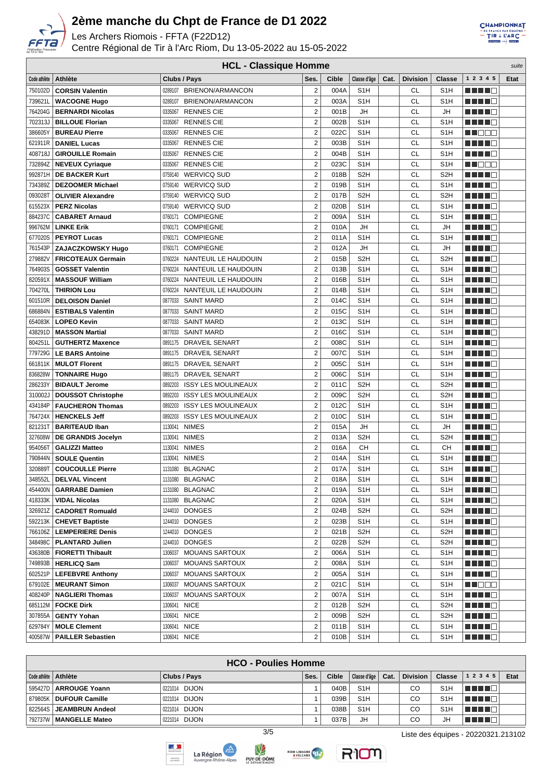

Les Archers Riomois - FFTA (F22D12)

Centre Régional de Tir à l'Arc Riom, Du 13-05-2022 au 15-05-2022



| <b>HCL - Classique Homme</b><br>suite |                           |                                       |                         |       |                  |      |                 |                  |                        |      |  |
|---------------------------------------|---------------------------|---------------------------------------|-------------------------|-------|------------------|------|-----------------|------------------|------------------------|------|--|
| Code athlète                          | Athlète                   | Clubs / Pays                          | Ses.                    | Cible | Classe d'âge     | Cat. | <b>Division</b> | <b>Classe</b>    | 1 2 3 4 5              | Etat |  |
| 750102D                               | <b>CORSIN Valentin</b>    | 0289107<br>BRIENON/ARMANCON           | $\overline{2}$          | 004A  | S <sub>1</sub> H |      | <b>CL</b>       | S <sub>1</sub> H | n din din ka           |      |  |
| 739621L                               | <b>WACOGNE Hugo</b>       | BRIENON/ARMANCON<br>0289107           | $\overline{2}$          | 003A  | S <sub>1</sub> H |      | <b>CL</b>       | S <sub>1</sub> H | HH 18                  |      |  |
| 764204G                               | <b>BERNARDI Nicolas</b>   | 0335067<br><b>RENNES CIE</b>          | $\overline{\mathbf{c}}$ | 001B  | JH               |      | <b>CL</b>       | JH               | n di Tin               |      |  |
| 702313J                               | <b>BILLOUE Florian</b>    | 0335067<br><b>RENNES CIE</b>          | $\overline{2}$          | 002B  | S <sub>1</sub> H |      | <b>CL</b>       | S <sub>1</sub> H | MA MAR                 |      |  |
| 386605Y                               | <b>BUREAU Pierre</b>      | <b>RENNES CIE</b><br>0335067          | $\overline{c}$          | 022C  | S <sub>1</sub> H |      | CL              | S <sub>1</sub> H | M DO O                 |      |  |
| 621911R                               | <b>DANIEL Lucas</b>       | <b>RENNES CIE</b><br>0335067          | $\overline{c}$          | 003B  | S <sub>1</sub> H |      | CL              | S <sub>1</sub> H | MA MARIT               |      |  |
| 408718J                               | <b>GIROUILLE Romain</b>   | <b>RENNES CIE</b><br>0335067          | $\overline{c}$          | 004B  | S <sub>1</sub> H |      | <b>CL</b>       | S <sub>1</sub> H | MANTE E                |      |  |
| 732894Z                               | <b>NEVEUX Cyriaque</b>    | <b>RENNES CIE</b><br>0335067          | $\overline{\mathbf{c}}$ | 023C  | S <sub>1</sub> H |      | <b>CL</b>       | S <sub>1</sub> H | n de e                 |      |  |
| 992871H                               | <b>DE BACKER Kurt</b>     | 0759140<br><b>WERVICQ SUD</b>         | $\overline{2}$          | 018B  | S <sub>2</sub> H |      | <b>CL</b>       | S <sub>2</sub> H | HH H H                 |      |  |
| 734389Z                               | <b>DEZOOMER Michael</b>   | <b>WERVICQ SUD</b><br>0759140         | $\overline{2}$          | 019B  | S <sub>1</sub> H |      | <b>CL</b>       | S <sub>1</sub> H | <u> HILLE</u>          |      |  |
| 093028T                               | <b>OLIVIER Alexandre</b>  | 0759140 WERVICQ SUD                   | $\overline{c}$          | 017B  | S <sub>2</sub> H |      | <b>CL</b>       | S <sub>2</sub> H | .                      |      |  |
| 615523X                               | <b>PERZ Nicolas</b>       | <b>WERVICQ SUD</b><br>0759140         | $\overline{c}$          | 020B  | S <sub>1</sub> H |      | <b>CL</b>       | S <sub>1</sub> H | HH H E                 |      |  |
| 884237C                               | <b>CABARET Arnaud</b>     | <b>COMPIEGNE</b><br>0760171           | $\overline{2}$          | 009A  | S <sub>1</sub> H |      | <b>CL</b>       | S <sub>1</sub> H | a da da da             |      |  |
| 996762M                               | <b>LINKE Erik</b>         | <b>COMPIEGNE</b><br>0760171           | $\overline{c}$          | 010A  | JH               |      | <b>CL</b>       | JH               | MA MARIT               |      |  |
| 677020S                               | <b>PEYROT Lucas</b>       | <b>COMPIEGNE</b><br>0760171           | $\overline{\mathbf{c}}$ | 011A  | S <sub>1</sub> H |      | <b>CL</b>       | S <sub>1</sub> H | MA MAD                 |      |  |
| 761543P                               | <b>ZAJACZKOWSKY Hugo</b>  | 0760171<br><b>COMPIEGNE</b>           | $\overline{2}$          | 012A  | JH               |      | <b>CL</b>       | JH               | n di Ting              |      |  |
| 279882V                               | <b>FRICOTEAUX Germain</b> | 0760224<br>NANTEUIL LE HAUDOUIN       | $\overline{\mathbf{c}}$ | 015B  | S <sub>2</sub> H |      | <b>CL</b>       | S <sub>2</sub> H |                        |      |  |
| 764903S                               | <b>GOSSET Valentin</b>    | NANTEUIL LE HAUDOUIN<br>0760224       | $\overline{2}$          | 013B  | S <sub>1</sub> H |      | <b>CL</b>       | S <sub>1</sub> H | HH 18                  |      |  |
| 820591X                               | <b>MASSOUF William</b>    | NANTEUIL LE HAUDOUIN<br>0760224       | $\overline{2}$          | 016B  | S <sub>1</sub> H |      | <b>CL</b>       | S <sub>1</sub> H | <u> Here al B</u>      |      |  |
| 704270L                               | <b>THIRION Lou</b>        | 0760224<br>NANTEUIL LE HAUDOUIN       | $\overline{c}$          | 014B  | S <sub>1</sub> H |      | <b>CL</b>       | S <sub>1</sub> H | HH H E                 |      |  |
| 601510R                               | <b>DELOISON Daniel</b>    | <b>SAINT MARD</b><br>0877033          | $\overline{2}$          | 014C  | S <sub>1</sub> H |      | <b>CL</b>       | S <sub>1</sub> H | HH H O                 |      |  |
| 686884N                               | <b>ESTIBALS Valentin</b>  | <b>SAINT MARD</b><br>0877033          | $\overline{2}$          | 015C  | S <sub>1</sub> H |      | <b>CL</b>       | S <sub>1</sub> H | n ni ni n              |      |  |
| 654083K                               | <b>LOPEO Kevin</b>        | <b>SAINT MARD</b><br>0877033          | $\overline{c}$          | 013C  | S <sub>1</sub> H |      | <b>CL</b>       | S <sub>1</sub> H | MANTE E                |      |  |
| 438291D                               | <b>MASSON Martial</b>     | <b>SAINT MARD</b><br>0877033          | $\overline{\mathbf{c}}$ | 016C  | S <sub>1</sub> H |      | <b>CL</b>       | S <sub>1</sub> H | a di Bandar            |      |  |
| 804251L                               | <b>GUTHERTZ Maxence</b>   | 0891175 DRAVEIL SENART                | $\overline{\mathbf{c}}$ | 008C  | S <sub>1</sub> H |      | <b>CL</b>       | S <sub>1</sub> H | ma mata                |      |  |
| 779729G                               | <b>LE BARS Antoine</b>    | 0891175 DRAVEIL SENART                | $\overline{\mathbf{c}}$ | 007C  | S <sub>1</sub> H |      | <b>CL</b>       | S <sub>1</sub> H |                        |      |  |
| 661811K                               | <b>MULOT Florent</b>      | 0891175 DRAVEIL SENART                | $\overline{2}$          | 005C  | S <sub>1</sub> H |      | <b>CL</b>       | S <sub>1</sub> H | a da da b              |      |  |
| 836828W                               | <b>TONNAIRE Hugo</b>      | DRAVEIL SENART<br>0891175             | $\overline{c}$          | 006C  | S <sub>1</sub> H |      | <b>CL</b>       | S <sub>1</sub> H | <u> El Bel</u>         |      |  |
| 286233Y                               | <b>BIDAULT Jerome</b>     | 0892203<br><b>ISSY LES MOULINEAUX</b> | $\overline{c}$          | 011C  | S <sub>2</sub> H |      | CL              | S <sub>2</sub> H | HH H H                 |      |  |
| 310002J                               | <b>DOUSSOT Christophe</b> | <b>ISSY LES MOULINEAUX</b><br>0892203 | $\overline{2}$          | 009C  | S <sub>2</sub> H |      | <b>CL</b>       | S <sub>2</sub> H | HH 10                  |      |  |
| 434184P                               | <b>FAUCHERON Thomas</b>   | 0892203<br><b>ISSY LES MOULINEAUX</b> | $\overline{2}$          | 012C  | S <sub>1</sub> H |      | CL              | S <sub>1</sub> H | a da da da             |      |  |
| 764724X                               | <b>HENCKELS Jeff</b>      | 0892203<br><b>ISSY LES MOULINEAUX</b> | $\overline{2}$          | 010C  | S <sub>1</sub> H |      | CL              | S <sub>1</sub> H | n di Ting              |      |  |
| 821231T                               | <b>BARITEAUD Iban</b>     | <b>NIMES</b><br>1130041               | $\overline{2}$          | 015A  | JH               |      | CL              | JH               | a da da da             |      |  |
| 327608W                               | DE GRANDIS Jocelyn        | <b>NIMES</b><br>1130041               | $\overline{2}$          | 013A  | S <sub>2</sub> H |      | CL              | S <sub>2</sub> H | n na m                 |      |  |
| 954056T                               | <b>GALIZZI Matteo</b>     | <b>NIMES</b><br>1130041               | $\overline{\mathbf{c}}$ | 016A  | CН               |      | CL              | CН               | HH 11                  |      |  |
| 790844N                               | <b>SOULE Quentin</b>      | <b>NIMES</b><br>1130041               | $\overline{2}$          | 014A  | S <sub>1</sub> H |      | CL              | S <sub>1</sub> H | HH H H                 |      |  |
| 320889T                               | <b>COUCOULLE Pierre</b>   | 1131080 BLAGNAC                       | $\overline{c}$          | 017A  | S <sub>1</sub> H |      | CL              | S <sub>1</sub> H | <u> Here al B</u>      |      |  |
|                                       | 348552L   DELVAL Vincent  | 1131080 BLAGNAC                       | 2                       | 018A  | S <sub>1</sub> H |      | CL              | S <sub>1</sub> H | <b>HELL</b>            |      |  |
| 454400N                               | <b>GARRABE Damien</b>     | 1131080 BLAGNAC                       | $\overline{2}$          | 019A  | S <sub>1</sub> H |      | <b>CL</b>       | S <sub>1</sub> H | <u> Here al B</u>      |      |  |
| 418333K                               | <b>VIDAL Nicolas</b>      | 1131080 BLAGNAC                       | $\overline{\mathbf{c}}$ | 020A  | S <sub>1</sub> H |      | CL              | S <sub>1</sub> H | <u> Literatura e</u>   |      |  |
| 326921Z                               | <b>CADORET Romuald</b>    | 1244010 DONGES                        | $\overline{c}$          | 024B  | S <sub>2</sub> H |      | CL              | S <sub>2</sub> H | M M M M M              |      |  |
| 592213K                               | <b>CHEVET Baptiste</b>    | 1244010 DONGES                        | $\overline{\mathbf{c}}$ | 023B  | S <sub>1</sub> H |      | CL              | S <sub>1</sub> H | MA MA                  |      |  |
| 766106Z                               | <b>LEMPERIERE Denis</b>   | 1244010 DONGES                        | $\overline{\mathbf{c}}$ | 021B  | S <sub>2</sub> H |      | CL              | S <sub>2</sub> H | ME HE G                |      |  |
| 348498C                               | <b>PLANTARD Julien</b>    | 1244010 DONGES                        | $\overline{\mathbf{c}}$ | 022B  | S <sub>2</sub> H |      | CL              | S <sub>2</sub> H | <u> Helena de la p</u> |      |  |
| 436380B                               | <b>FIORETTI Thibault</b>  | 1306037 MOUANS SARTOUX                | $\overline{\mathbf{c}}$ | 006A  | S <sub>1</sub> H |      | CL              | S <sub>1</sub> H | <u>Little Di</u>       |      |  |
| 749893B                               | <b>HERLICQ Sam</b>        | <b>MOUANS SARTOUX</b><br>1306037      | $\overline{c}$          | 008A  | S <sub>1</sub> H |      | CL              | S <sub>1</sub> H | <u> Hendrich Sch</u>   |      |  |
| 602521P                               | <b>LEFEBVRE Anthony</b>   | <b>MOUANS SARTOUX</b><br>1306037      | $\overline{c}$          | 005A  | S <sub>1</sub> H |      | CL              | S <sub>1</sub> H | <u> Herman Ba</u>      |      |  |
| 679102E                               | <b>MEURANT Simon</b>      | <b>MOUANS SARTOUX</b><br>1306037      | $\overline{c}$          | 021C  | S <sub>1</sub> H |      | CL              | S <sub>1</sub> H | <u> Nijele e </u>      |      |  |
| 408240P                               | <b>NAGLIERI Thomas</b>    | <b>MOUANS SARTOUX</b><br>1306037      | $\overline{\mathbf{c}}$ | 007A  | S <sub>1</sub> H |      | CL              | S <sub>1</sub> H | <u>Little B</u>        |      |  |
| 685112M                               | <b>FOCKE Dirk</b>         | <b>NICE</b><br>1306041                | $\overline{\mathbf{c}}$ | 012B  | S <sub>2</sub> H |      | CL              | S <sub>2</sub> H | <u> Here a Be</u>      |      |  |
| 307855A                               | <b>GENTY Yohan</b>        | <b>NICE</b><br>1306041                | $\overline{\mathbf{c}}$ | 009B  | S <sub>2</sub> H |      | CL              | S <sub>2</sub> H | a da da G              |      |  |
| 629784Y                               | <b>MOLE Clement</b>       | <b>NICE</b><br>1306041                | 2                       | 011B  | S <sub>1</sub> H |      | CL              | S <sub>1</sub> H | MA MAR                 |      |  |
| 400587W                               | <b>PAILLER Sebastien</b>  | 1306041 NICE                          | $\overline{2}$          | 010B  | S <sub>1</sub> H |      | <b>CL</b>       | S <sub>1</sub> H | <u>Little B</u>        |      |  |

|                        | <b>HCO - Poulies Homme</b>        |               |      |       |                  |      |          |                  |           |             |  |  |
|------------------------|-----------------------------------|---------------|------|-------|------------------|------|----------|------------------|-----------|-------------|--|--|
| Code athlète   Athlète |                                   | Clubs / Pays  | Ses. | Cible | Classe d'âge     | Cat. | Division | Classe           | 1 2 3 4 5 | <b>Etat</b> |  |  |
|                        | 595427D   ARROUGE Yoann           | 0221014 DIJON |      | 040B  | S <sub>1</sub> H |      | CO       | S <sub>1</sub> H | T 8 8 8 9 |             |  |  |
|                        | ∣ 879805K <b>∣ DUFOUR Camille</b> | 0221014 DIJON |      | 039B  | S <sub>1</sub> H |      | CO       | S <sub>1</sub> H | TE E E E  |             |  |  |
|                        | 822564S   JEAMBRUN Andeol         | 0221014 DIJON |      | 038B  | S <sub>1</sub> H |      | CО       | S <sub>1</sub> H | TE E E    |             |  |  |
| 792737W                | MANGELLE Mateo                    | 0221014 DIJON |      | 037B  | JH               |      | CО       | JH               | T FI E    |             |  |  |







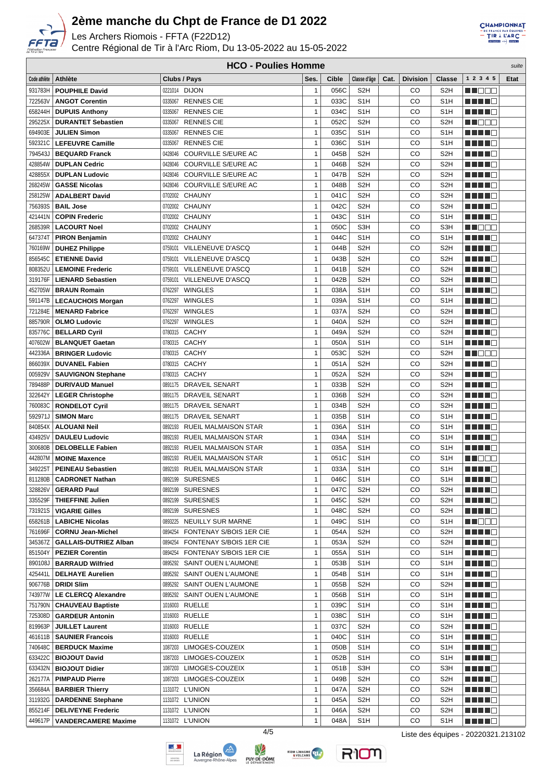

Les Archers Riomois - FFTA (F22D12)

Centre Régional de Tir à l'Arc Riom, Du 13-05-2022 au 15-05-2022



**HCO - Poulies Homme** suite

| Code athlète | Athlète                      | Clubs / Pays                           | Ses.         | Cible | Classe d'âge     | Cat. | <b>Division</b> | <b>Classe</b>    | 1 2 3 4 5                 | <b>Etat</b> |
|--------------|------------------------------|----------------------------------------|--------------|-------|------------------|------|-----------------|------------------|---------------------------|-------------|
| 931783H      | <b>POUPHILE David</b>        | 0221014 DIJON                          | $\mathbf{1}$ | 056C  | S <sub>2</sub> H |      | CO              | S <sub>2</sub> H | MA MARIT                  |             |
| 722563V      | <b>ANGOT Corentin</b>        | <b>RENNES CIE</b><br>0335067           | $\mathbf{1}$ | 033C  | S <sub>1</sub> H |      | CO              | S <sub>1</sub> H | HH 18                     |             |
| 658244H      | <b>DUPUIS Anthony</b>        | <b>RENNES CIE</b><br>0335067           | $\mathbf{1}$ | 034C  | S <sub>1</sub> H |      | CO              | S <sub>1</sub> H | .                         |             |
| 295225X      | <b>DURANTET Sebastien</b>    | 0335067<br><b>RENNES CIE</b>           | $\mathbf{1}$ | 052C  | S <sub>2</sub> H |      | CO              | S <sub>2</sub> H | <u> Hees</u>              |             |
| 694903E      | <b>JULIEN Simon</b>          | 0335067<br><b>RENNES CIE</b>           | $\mathbf{1}$ | 035C  | S <sub>1</sub> H |      | CO              | S <sub>1</sub> H | <u> Literatur</u>         |             |
| 592321C      | <b>LEFEUVRE Camille</b>      | 0335067<br><b>RENNES CIE</b>           | $\mathbf{1}$ | 036C  | S <sub>1</sub> H |      | CO              | S <sub>1</sub> H | H H H O                   |             |
| 794543J      | <b>BEQUARD Franck</b>        | 0428046<br>COURVILLE S/EURE AC         | $\mathbf{1}$ | 045B  | S <sub>2</sub> H |      | CO              | S <sub>2</sub> H | a da da ka                |             |
| 428854W      | <b>DUPLAN Cedric</b>         | 0428046<br>COURVILLE S/EURE AC         | $\mathbf{1}$ | 046B  | S <sub>2</sub> H |      | CO              | S <sub>2</sub> H | <u> Literatur</u>         |             |
| 428855X      | <b>DUPLAN Ludovic</b>        | COURVILLE S/EURE AC<br>0428046         | $\mathbf{1}$ | 047B  | S <sub>2</sub> H |      | CO              | S <sub>2</sub> H | <u> Literatur</u>         |             |
|              | <b>GASSE Nicolas</b>         |                                        |              |       |                  |      |                 |                  |                           |             |
| 268245W      |                              | 0428046 COURVILLE S/EURE AC            | $\mathbf{1}$ | 048B  | S <sub>2</sub> H |      | CO              | S <sub>2</sub> H | a da da                   |             |
| 258125W      | <b>ADALBERT David</b>        | 0702002 CHAUNY                         | $\mathbf{1}$ | 041C  | S <sub>2</sub> H |      | CO              | S <sub>2H</sub>  | MANTE E                   |             |
| 756393S      | <b>BAIL Jose</b>             | 0702002 CHAUNY                         | $\mathbf{1}$ | 042C  | S <sub>2</sub> H |      | CO              | S <sub>2</sub> H | MA NA MA                  |             |
| 421441N      | <b>COPIN Frederic</b>        | 0702002 CHAUNY                         | $\mathbf{1}$ | 043C  | S <sub>1</sub> H |      | CO              | S <sub>1</sub> H | <u> Literatur</u>         |             |
| 268539R      | <b>LACOURT Noel</b>          | 0702002 CHAUNY                         | $\mathbf{1}$ | 050C  | S <sub>3</sub> H |      | CO              | S3H              | M NO S                    |             |
| 647374T      | <b>PIRON Benjamin</b>        | 0702002 CHAUNY                         | $\mathbf{1}$ | 044C  | S <sub>1</sub> H |      | CO              | S <sub>1</sub> H | H H H E                   |             |
| 760169W      | <b>DUHEZ Philippe</b>        | 0759101 VILLENEUVE D'ASCQ              | $\mathbf{1}$ | 044B  | S <sub>2</sub> H |      | CO              | S <sub>2H</sub>  | man da b                  |             |
| 856545C      | <b>ETIENNE David</b>         | 0759101 VILLENEUVE D'ASCQ              | $\mathbf{1}$ | 043B  | S <sub>2</sub> H |      | CO              | S <sub>2H</sub>  | <u> Listo de la p</u>     |             |
| 808352U      | <b>LEMOINE Frederic</b>      | VILLENEUVE D'ASCQ<br>0759101           | $\mathbf{1}$ | 041B  | S <sub>2</sub> H |      | CO              | S <sub>2H</sub>  | n din din k               |             |
| 319176F      | <b>LIENARD Sebastien</b>     | VILLENEUVE D'ASCQ<br>0759101           | $\mathbf{1}$ | 042B  | S <sub>2</sub> H |      | CO              | S <sub>2</sub> H | n din D                   |             |
| 452705W      | <b>BRAUN Romain</b>          | <b>WINGLES</b><br>0762297              | $\mathbf{1}$ | 038A  | S <sub>1</sub> H |      | CO              | S <sub>1</sub> H | n di Tin                  |             |
| 591147B      | <b>LECAUCHOIS Morgan</b>     | <b>WINGLES</b><br>0762297              | 1            | 039A  | S <sub>1</sub> H |      | CO              | S <sub>1</sub> H | MA NA M                   |             |
| 721284E      | <b>MENARD Fabrice</b>        | 0762297<br>WINGLES                     | $\mathbf{1}$ | 037A  | S <sub>2</sub> H |      | CO              | S <sub>2</sub> H | HH 11                     |             |
| 885790R      | <b>OLMO Ludovic</b>          | <b>WINGLES</b><br>0762297              | $\mathbf{1}$ | 040A  | S <sub>2</sub> H |      | CO              | S <sub>2</sub> H | <u> Here i B</u>          |             |
| 835776C      | <b>BELLARD Cyril</b>         | 0780315 CACHY                          | $\mathbf{1}$ | 049A  | S <sub>2</sub> H |      | CO              | S <sub>2H</sub>  | n Album E                 |             |
| 407602W      | <b>BLANQUET Gaetan</b>       | 0780315 CACHY                          | $\mathbf{1}$ | 050A  | S <sub>1</sub> H |      | CO              | S <sub>1</sub> H |                           |             |
| 442336A      | <b>BRINGER Ludovic</b>       | 0780315 CACHY                          | $\mathbf{1}$ | 053C  | S <sub>2</sub> H |      | CO              | S <sub>2</sub> H | M DE S                    |             |
| 866039X      | <b>DUVANEL Fabien</b>        | 0780315 CACHY                          | $\mathbf{1}$ | 051A  | S <sub>2</sub> H |      | CO              | S <sub>2H</sub>  | H H H E                   |             |
| 005929V      | <b>SAUVIGNON Stephane</b>    | 0780315 CACHY                          | $\mathbf{1}$ | 052A  | S <sub>2</sub> H |      | CO              | S <sub>2</sub> H | H H H E                   |             |
| 789488P      | <b>DURIVAUD Manuel</b>       | 0891175 DRAVEIL SENART                 | $\mathbf{1}$ | 033B  | S <sub>2</sub> H |      | CO              | S <sub>2</sub> H | HH H H                    |             |
| 322642Y      | <b>LEGER Christophe</b>      | 0891175 DRAVEIL SENART                 | $\mathbf{1}$ | 036B  | S <sub>2</sub> H |      | CO              | S <sub>2</sub> H | HH 10                     |             |
| 760083C      |                              |                                        | $\mathbf{1}$ | 034B  | S <sub>2</sub> H |      | CO              | S <sub>2</sub> H |                           |             |
|              | <b>RONDELOT Cyril</b>        | 0891175 DRAVEIL SENART                 |              |       |                  |      |                 |                  | <u> La La La</u>          |             |
| 592971J      | <b>SIMON Marc</b>            | 0891175 DRAVEIL SENART                 | $\mathbf{1}$ | 035B  | S <sub>1</sub> H |      | CO              | S <sub>1</sub> H | <u> Literatur</u>         |             |
| 840854X      | <b>ALOUANI Neil</b>          | 0892193 RUEIL MALMAISON STAR           | $\mathbf{1}$ | 036A  | S <sub>1</sub> H |      | CO              | S <sub>1</sub> H | HH 10                     |             |
| 434925V      | <b>DAULEU Ludovic</b>        | 0892193 RUEIL MALMAISON STAR           | $\mathbf{1}$ | 034A  | S <sub>1</sub> H |      | CO              | S <sub>1</sub> H | HH H E                    |             |
| 300680B      | <b>DELOBELLE Fabien</b>      | 0892193<br><b>RUEIL MALMAISON STAR</b> | $\mathbf{1}$ | 035A  | S <sub>1</sub> H |      | CO              | S <sub>1</sub> H | M M M M M                 |             |
| 442807M      | <b>MOINE Maxence</b>         | <b>RUEIL MALMAISON STAR</b><br>0892193 | $\mathbf{1}$ | 051C  | S <sub>1</sub> H |      | CO              | S <sub>1</sub> H | M D D D                   |             |
| 349225T      | <b>PEINEAU Sebastien</b>     | <b>RUEIL MALMAISON STAR</b><br>0892193 | $\mathbf{1}$ | 033A  | S <sub>1</sub> H |      | CO              | S <sub>1</sub> H | <u> Here al B</u>         |             |
| 811280B      | <b>CADRONET Nathan</b>       | 0892199 SURESNES                       | $\mathbf{1}$ | 046C  | S <sub>1</sub> H |      | CO              | S <sub>1</sub> H | <u>Literatur</u>          |             |
| 328826V      | <b>GERARD Paul</b>           | 0892199 SURESNES                       | 1            | 047C  | S <sub>2</sub> H |      | CO              | S <sub>2</sub> H | MA MAR                    |             |
| 335529F      | <b>THIEFFINE Julien</b>      | 0892199 SURESNES                       | $\mathbf{1}$ | 045C  | S <sub>2</sub> H |      | CO              | S <sub>2</sub> H | <u> Literatura e</u>      |             |
| 731921S      | <b>VIGARIE Gilles</b>        | 0892199 SURESNES                       | $\mathbf{1}$ | 048C  | S <sub>2</sub> H |      | CO              | S <sub>2</sub> H | <u> Here i Sa</u>         |             |
| 658261B      | <b>LABICHE Nicolas</b>       | 0893225 NEUILLY SUR MARNE              | $\mathbf{1}$ | 049C  | S <sub>1</sub> H |      | CO              | S <sub>1</sub> H | m E O O O                 |             |
| 761696F      | <b>CORNU Jean-Michel</b>     | 0894254 FONTENAY S/BOIS 1ER CIE        | $\mathbf{1}$ | 054A  | S <sub>2</sub> H |      | CO              | S <sub>2</sub> H |                           |             |
| 345367Z      | <b>GALLAIS-DUTRIEZ Alban</b> | 0894254<br>FONTENAY S/BOIS 1ER CIE     | $\mathbf{1}$ | 053A  | S <sub>2</sub> H |      | CO              | S <sub>2</sub> H | n di Ting                 |             |
| 851504Y      | <b>PEZIER Corentin</b>       | FONTENAY S/BOIS 1ER CIE<br>0894254     | $\mathbf{1}$ | 055A  | S <sub>1</sub> H |      | CO              | S <sub>1</sub> H | a di Bar                  |             |
| 890108J      | <b>BARRAUD Wilfried</b>      | 0895292 SAINT OUEN L'AUMONE            | $\mathbf{1}$ | 053B  | S <sub>1</sub> H |      | CO              | S <sub>1</sub> H | <u> Helena S</u>          |             |
| 425441L      | <b>DELHAYE Aurelien</b>      | 0895292 SAINT OUEN L'AUMONE            | $\mathbf{1}$ | 054B  | S <sub>1</sub> H |      | CO              | S <sub>1</sub> H | <u> Listo – C</u>         |             |
| 906776B      | <b>DRIDI Slim</b>            | 0895292 SAINT OUEN L'AUMONE            | $\mathbf{1}$ | 055B  | S <sub>2</sub> H |      | CO              | S <sub>2</sub> H | <u> Literatur</u>         |             |
| 743977W      | <b>LE CLERCQ Alexandre</b>   | 0895292 SAINT OUEN L'AUMONE            | $\mathbf{1}$ | 056B  | S <sub>1</sub> H |      | CO              | S <sub>1</sub> H | <u> Literatur</u>         |             |
| 751790N      | <b>CHAUVEAU Baptiste</b>     | 1016003 RUELLE                         | $\mathbf{1}$ | 039C  | S <sub>1</sub> H |      | CO              | S <sub>1</sub> H | <u>Literatur</u>          |             |
| 725308D      | <b>GARDEUR Antonin</b>       | 1016003 RUELLE                         | $\mathbf{1}$ | 038C  | S <sub>1</sub> H |      | CO              | S <sub>1</sub> H | <u> Literatur</u>         |             |
| 819963P      | <b>JUILLET Laurent</b>       | 1016003 RUELLE                         | $\mathbf{1}$ | 037C  | S <sub>2</sub> H |      | CO              | S <sub>2</sub> H | <u> Literatur</u>         |             |
| 461611B      | <b>SAUNIER Francois</b>      | 1016003 RUELLE                         | $\mathbf{1}$ | 040C  | S <sub>1</sub> H |      | CO              | S <sub>1</sub> H |                           |             |
| 740648C      | <b>BERDUCK Maxime</b>        | 1087203 LIMOGES-COUZEIX                | $\mathbf{1}$ | 050B  | S <sub>1</sub> H |      | CO              | S <sub>1</sub> H | <u> Harris Ba</u>         |             |
| 633422C      | <b>BIOJOUT David</b>         | 1087203 LIMOGES-COUZEIX                | $\mathbf{1}$ | 052B  | S <sub>1</sub> H |      | CO              | S <sub>1</sub> H | <u> Literatur</u>         |             |
| 633432N      |                              |                                        | $\mathbf{1}$ | 051B  |                  |      | CO              |                  |                           |             |
|              | <b>BIOJOUT Didier</b>        | 1087203 LIMOGES-COUZEIX                |              |       | S <sub>3</sub> H |      |                 | S <sub>3</sub> H | <u> Literatur v</u>       |             |
| 262177A      | <b>PIMPAUD Pierre</b>        | 1087203 LIMOGES-COUZEIX                | $\mathbf{1}$ | 049B  | S <sub>2</sub> H |      | CO              | S <sub>2</sub> H | <u> Literatura de la </u> |             |
| 356684A      | <b>BARBIER Thierry</b>       | 1131072 L'UNION                        | $\mathbf{1}$ | 047A  | S <sub>2</sub> H |      | CO              | S <sub>2</sub> H | <u> Literatur</u>         |             |
| 311932G      | <b>DARDENNE Stephane</b>     | 1131072 L'UNION                        | $\mathbf{1}$ | 045A  | S <sub>2</sub> H |      | CO              | S <sub>2</sub> H | <u> Literatur</u>         |             |
| 855214F      | <b>DELIVEYNE Frederic</b>    | 1131072 L'UNION                        | 1            | 046A  | S <sub>2</sub> H |      | CO              | S <sub>2</sub> H | <u> Literatur</u>         |             |
| 449617P      | <b>VANDERCAMERE Maxime</b>   | 1131072 L'UNION                        | 1            | 048A  | S <sub>1</sub> H |      | CO              | S <sub>1</sub> H | <u> Literatur</u>         |             |